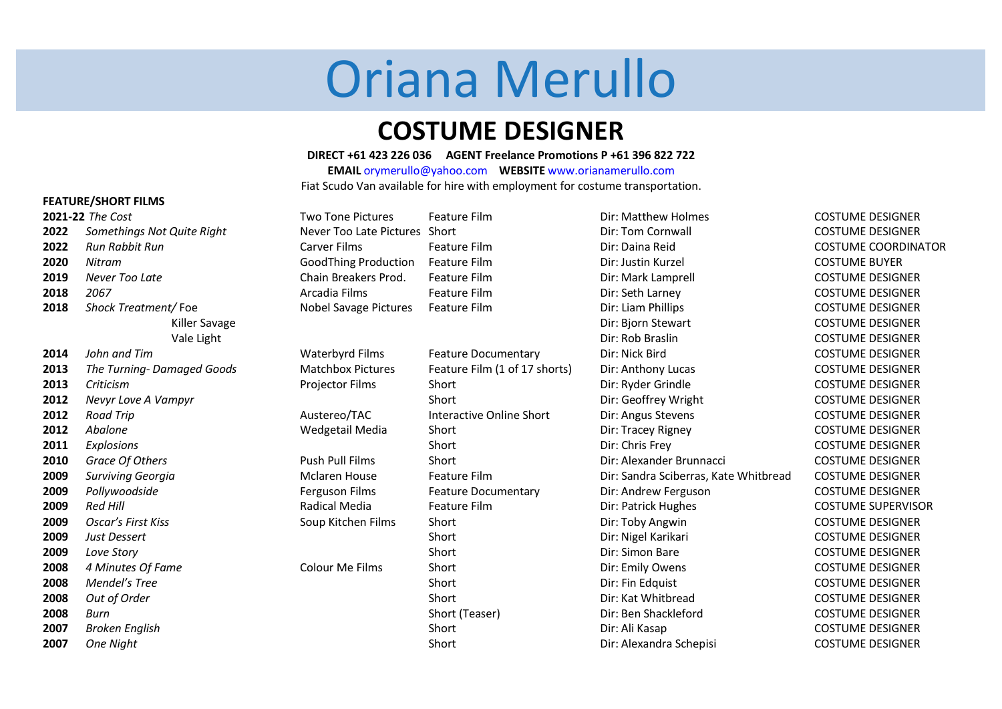# Oriana Merullo

# **COSTUME DESIGNER**

## **DIRECT +61 423 226 036 AGENT Freelance Promotions P +61 396 822 722**

**EMAIL** [orymerullo@yahoo.com](mailto:orymerullo@yahoo.com) **WEBSITE** www.orianamerullo.com Fiat Scudo Van available for hire with employment for costume transportation.

# **FEATURE/SHORT FILMS**

|      | 2021-22 The Cost           | <b>Two Tone Pictures</b>      | <b>Feature Film</b>             | Dir: Matthew Holmes                   | <b>COSTUME DESIGNER</b>    |
|------|----------------------------|-------------------------------|---------------------------------|---------------------------------------|----------------------------|
| 2022 | Somethings Not Quite Right | Never Too Late Pictures Short |                                 | Dir: Tom Cornwall                     | <b>COSTUME DESIGNER</b>    |
| 2022 | Run Rabbit Run             | Carver Films                  | Feature Film                    | Dir: Daina Reid                       | <b>COSTUME COORDINATOR</b> |
| 2020 | Nitram                     | <b>GoodThing Production</b>   | Feature Film                    | Dir: Justin Kurzel                    | <b>COSTUME BUYER</b>       |
| 2019 | Never Too Late             | Chain Breakers Prod.          | Feature Film                    | Dir: Mark Lamprell                    | <b>COSTUME DESIGNER</b>    |
| 2018 | 2067                       | Arcadia Films                 | Feature Film                    | Dir: Seth Larney                      | <b>COSTUME DESIGNER</b>    |
| 2018 | Shock Treatment/Foe        | <b>Nobel Savage Pictures</b>  | <b>Feature Film</b>             | Dir: Liam Phillips                    | <b>COSTUME DESIGNER</b>    |
|      | Killer Savage              |                               |                                 | Dir: Bjorn Stewart                    | <b>COSTUME DESIGNER</b>    |
|      | Vale Light                 |                               |                                 | Dir: Rob Braslin                      | <b>COSTUME DESIGNER</b>    |
| 2014 | John and Tim               | Waterbyrd Films               | <b>Feature Documentary</b>      | Dir: Nick Bird                        | <b>COSTUME DESIGNER</b>    |
| 2013 | The Turning-Damaged Goods  | <b>Matchbox Pictures</b>      | Feature Film (1 of 17 shorts)   | Dir: Anthony Lucas                    | <b>COSTUME DESIGNER</b>    |
| 2013 | Criticism                  | <b>Projector Films</b>        | Short                           | Dir: Ryder Grindle                    | <b>COSTUME DESIGNER</b>    |
| 2012 | Nevyr Love A Vampyr        |                               | Short                           | Dir: Geoffrey Wright                  | <b>COSTUME DESIGNER</b>    |
| 2012 | <b>Road Trip</b>           | Austereo/TAC                  | <b>Interactive Online Short</b> | Dir: Angus Stevens                    | <b>COSTUME DESIGNER</b>    |
| 2012 | Abalone                    | Wedgetail Media               | Short                           | Dir: Tracey Rigney                    | <b>COSTUME DESIGNER</b>    |
| 2011 | Explosions                 |                               | Short                           | Dir: Chris Frey                       | <b>COSTUME DESIGNER</b>    |
| 2010 | Grace Of Others            | <b>Push Pull Films</b>        | Short                           | Dir: Alexander Brunnacci              | <b>COSTUME DESIGNER</b>    |
| 2009 | Surviving Georgia          | <b>Mclaren House</b>          | Feature Film                    | Dir: Sandra Sciberras, Kate Whitbread | <b>COSTUME DESIGNER</b>    |
| 2009 | Pollywoodside              | Ferguson Films                | <b>Feature Documentary</b>      | Dir: Andrew Ferguson                  | <b>COSTUME DESIGNER</b>    |
| 2009 | <b>Red Hill</b>            | Radical Media                 | Feature Film                    | Dir: Patrick Hughes                   | <b>COSTUME SUPERVISOR</b>  |
| 2009 | <b>Oscar's First Kiss</b>  | Soup Kitchen Films            | Short                           | Dir: Toby Angwin                      | <b>COSTUME DESIGNER</b>    |
| 2009 | Just Dessert               |                               | Short                           | Dir: Nigel Karikari                   | <b>COSTUME DESIGNER</b>    |
| 2009 | Love Story                 |                               | Short                           | Dir: Simon Bare                       | <b>COSTUME DESIGNER</b>    |
| 2008 | 4 Minutes Of Fame          | Colour Me Films               | Short                           | Dir: Emily Owens                      | <b>COSTUME DESIGNER</b>    |
| 2008 | Mendel's Tree              |                               | Short                           | Dir: Fin Edquist                      | <b>COSTUME DESIGNER</b>    |
| 2008 | Out of Order               |                               | Short                           | Dir: Kat Whitbread                    | <b>COSTUME DESIGNER</b>    |
| 2008 | Burn                       |                               | Short (Teaser)                  | Dir: Ben Shackleford                  | <b>COSTUME DESIGNER</b>    |
| 2007 | <b>Broken English</b>      |                               | Short                           | Dir: Ali Kasap                        | <b>COSTUME DESIGNER</b>    |
| 2007 | One Night                  |                               | Short                           | Dir: Alexandra Schepisi               | <b>COSTUME DESIGNER</b>    |
|      |                            |                               |                                 |                                       |                            |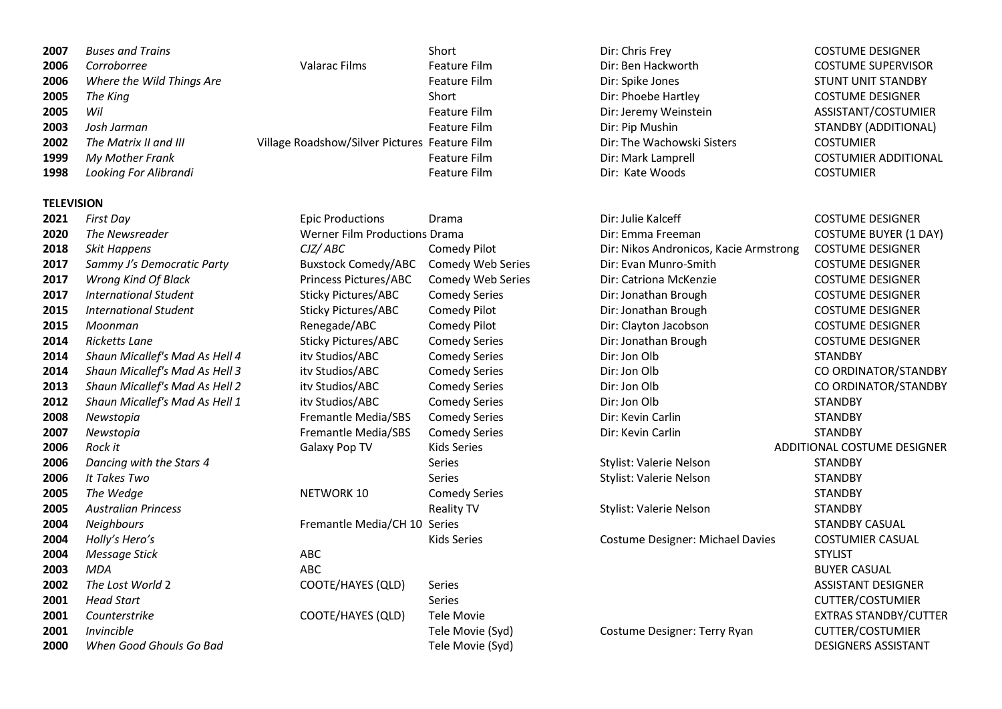| 2007 | <b>Buses and Trains</b>   |                                               | Short        | Dir: Chris Frey            |                  | <b>COSTUME DESIGNER</b>    |
|------|---------------------------|-----------------------------------------------|--------------|----------------------------|------------------|----------------------------|
| 2006 | Corroborree               | Valarac Films                                 | Feature Film | Dir: Ben Hackworth         |                  | <b>COSTUME SUPERVISOR</b>  |
| 2006 | Where the Wild Things Are |                                               | Feature Film | Dir: Spike Jones           |                  | <b>STUNT UNIT STANDBY</b>  |
| 2005 | The King                  |                                               | Short        | Dir: Phoebe Hartley        |                  | <b>COSTUME DESIGNER</b>    |
| 2005 | Wil                       |                                               | Feature Film | Dir: Jeremy Weinstein      |                  | ASSISTANT/COSTUMIER        |
| 2003 | Josh Jarman               |                                               | Feature Film | Dir: Pip Mushin            |                  | <b>STANDBY (ADDITIONAL</b> |
| 2002 | The Matrix II and III     | Village Roadshow/Silver Pictures Feature Film |              | Dir: The Wachowski Sisters | <b>COSTUMIER</b> |                            |
| 1999 | My Mother Frank           |                                               | Feature Film | Dir: Mark Lamprell         |                  | <b>COSTUMIER ADDITION</b>  |
| 1998 | Looking For Alibrandi     |                                               | Feature Film | Dir: Kate Woods            | <b>COSTUMIER</b> |                            |
|      |                           |                                               |              |                            |                  |                            |

# **TELEVISION**

| 2021 | <b>First Day</b>               | <b>Epic Productions</b>       | Drama                    | Dir: Julie Kalceff                     | <b>COSTUME DESIGNER</b>        |
|------|--------------------------------|-------------------------------|--------------------------|----------------------------------------|--------------------------------|
| 2020 | The Newsreader                 | Werner Film Productions Drama |                          | Dir: Emma Freeman                      | <b>COSTUME BUYER (1)</b>       |
| 2018 | <b>Skit Happens</b>            | CJZ/ABC                       | Comedy Pilot             | Dir: Nikos Andronicos, Kacie Armstrong | <b>COSTUME DESIGNER</b>        |
| 2017 | Sammy J's Democratic Party     | <b>Buxstock Comedy/ABC</b>    | <b>Comedy Web Series</b> | Dir: Evan Munro-Smith                  | <b>COSTUME DESIGNER</b>        |
| 2017 | Wrong Kind Of Black            | Princess Pictures/ABC         | Comedy Web Series        | Dir: Catriona McKenzie                 | <b>COSTUME DESIGNER</b>        |
| 2017 | <b>International Student</b>   | <b>Sticky Pictures/ABC</b>    | <b>Comedy Series</b>     | Dir: Jonathan Brough                   | <b>COSTUME DESIGNER</b>        |
| 2015 | <b>International Student</b>   | <b>Sticky Pictures/ABC</b>    | Comedy Pilot             | Dir: Jonathan Brough                   | <b>COSTUME DESIGNER</b>        |
| 2015 | Moonman                        | Renegade/ABC                  | Comedy Pilot             | Dir: Clayton Jacobson                  | <b>COSTUME DESIGNER</b>        |
| 2014 | Ricketts Lane                  | <b>Sticky Pictures/ABC</b>    | <b>Comedy Series</b>     | Dir: Jonathan Brough                   | <b>COSTUME DESIGNER</b>        |
| 2014 | Shaun Micallef's Mad As Hell 4 | itv Studios/ABC               | <b>Comedy Series</b>     | Dir: Jon Olb                           | <b>STANDBY</b>                 |
| 2014 | Shaun Micallef's Mad As Hell 3 | itv Studios/ABC               | <b>Comedy Series</b>     | Dir: Jon Olb                           | CO ORDINATOR/STA               |
| 2013 | Shaun Micallef's Mad As Hell 2 | itv Studios/ABC               | <b>Comedy Series</b>     | Dir: Jon Olb                           | CO ORDINATOR/STA               |
| 2012 | Shaun Micallef's Mad As Hell 1 | itv Studios/ABC               | <b>Comedy Series</b>     | Dir: Jon Olb                           | <b>STANDBY</b>                 |
| 2008 | Newstopia                      | Fremantle Media/SBS           | <b>Comedy Series</b>     | Dir: Kevin Carlin                      | <b>STANDBY</b>                 |
| 2007 | Newstopia                      | Fremantle Media/SBS           | <b>Comedy Series</b>     | Dir: Kevin Carlin                      | <b>STANDBY</b>                 |
| 2006 | Rock it                        | Galaxy Pop TV                 | <b>Kids Series</b>       |                                        | <b>ADDITIONAL COSTUME DESI</b> |
| 2006 | Dancing with the Stars 4       |                               | <b>Series</b>            | Stylist: Valerie Nelson                | <b>STANDBY</b>                 |
| 2006 | It Takes Two                   |                               | <b>Series</b>            | Stylist: Valerie Nelson                | <b>STANDBY</b>                 |
| 2005 | The Wedge                      | <b>NETWORK 10</b>             | <b>Comedy Series</b>     |                                        | <b>STANDBY</b>                 |
| 2005 | <b>Australian Princess</b>     |                               | <b>Reality TV</b>        | Stylist: Valerie Nelson                | <b>STANDBY</b>                 |
| 2004 | <b>Neighbours</b>              | Fremantle Media/CH 10         | Series                   |                                        | <b>STANDBY CASUAL</b>          |
| 2004 | Holly's Hero's                 |                               | <b>Kids Series</b>       | Costume Designer: Michael Davies       | <b>COSTUMIER CASUAL</b>        |
| 2004 | Message Stick                  | ABC                           |                          |                                        | <b>STYLIST</b>                 |
| 2003 | <b>MDA</b>                     | <b>ABC</b>                    |                          |                                        | <b>BUYER CASUAL</b>            |
| 2002 | The Lost World 2               | COOTE/HAYES (QLD)             | <b>Series</b>            |                                        | <b>ASSISTANT DESIGNEI</b>      |
| 2001 | <b>Head Start</b>              |                               | Series                   |                                        | <b>CUTTER/COSTUMIER</b>        |
| 2001 | Counterstrike                  | COOTE/HAYES (QLD)             | <b>Tele Movie</b>        |                                        | <b>EXTRAS STANDBY/CL</b>       |
| 2001 | <i>Invincible</i>              |                               | Tele Movie (Syd)         | Costume Designer: Terry Ryan           | <b>CUTTER/COSTUMIER</b>        |
| 2000 | When Good Ghouls Go Bad        |                               | Tele Movie (Syd)         |                                        | <b>DESIGNERS ASSISTAN</b>      |
|      |                                |                               |                          |                                        |                                |

> **The Newsreader Extending COSTUME BUYER (1 DAY)**  *Skit Happens CJZ/ ABC* Comedy Pilot Dir: Nikos Andronicos, Kacie Armstrong COSTUME DESIGNER *Shaun Micallef's Mad As Hell 3* itv Studios/ABC Comedy Series Dir: Jon Olb CO ORDINATOR/STANDBY *Shaun Micallef's Mad As Hell 2* itv Studios/ABC Comedy Series Dir: Jon Olb CO ORDINATOR/STANDBY *Holly's Hero's* Kids Series Costume Designer: Michael Davies COSTUMIER CASUAL **Invincibility** *Invincing Movie CUTTER/COSTUMIER*

*Rock it* Galaxy Pop TV Kids Series ADDITIONAL COSTUME DESIGNER *The Lost World* 2 COOTE/HAYES (QLD) Series ASSISTANT DESIGNER *Head Start* Series CUTTER/COSTUMIER **EXTRAS STANDBY/CUTTER** *When Good Ghouls Go Bad* Tele Movie (Syd) DESIGNERS ASSISTANT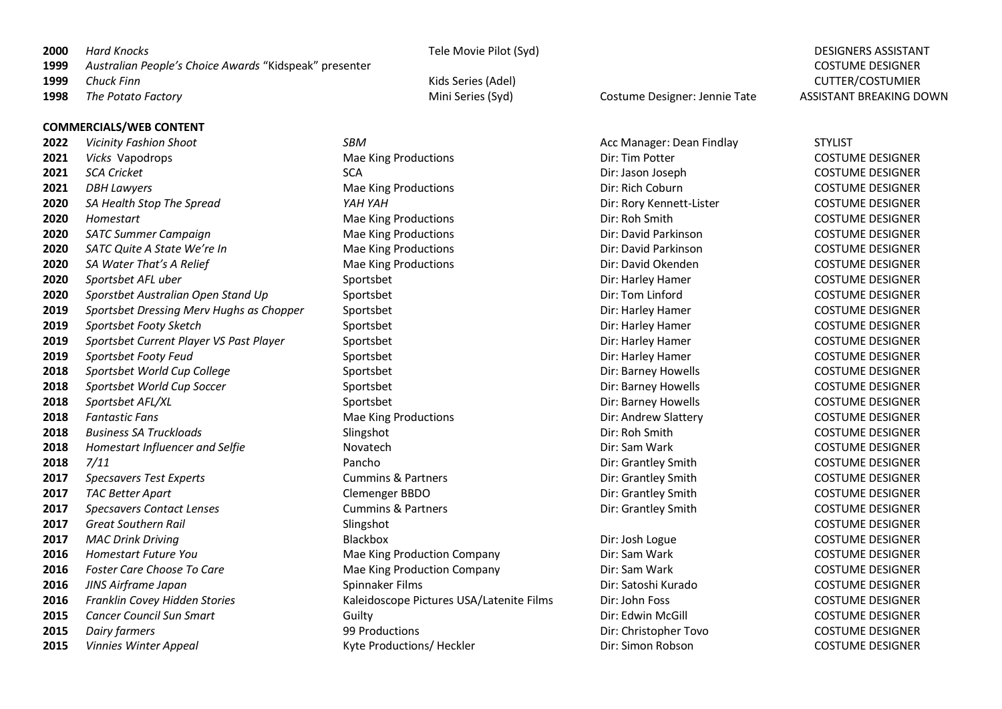| 2000 | Hard Knocks |
|------|-------------|
|      |             |

 *Australian People's Choice Awards* "Kidspeak" presenter COSTUME DESIGNER *Chuck Finn* Kids Series (Adel) CUTTER/COSTUMIER *The Potato Factory* Mini Series (Syd) Costume Designer: Jennie Tate ASSISTANT BREAKING DOWN

### **COMMERCIALS/WEB CONTENT**

 *Vicinity Fashion Shoot SBM SBM* Acc Manager: Dean Findlay STYLIST *Vicks* Vapodrops **Mae King Productions** Dir: Tim Potter Director COSTUME DESIGNER *SCA Cricket* SCA Dir: Jason Joseph COSTUME DESIGNER DBH Lawyers **Making Productions** Mae King Productions Dir: Rich Coburn Directions COSTUME DESIGNER *SA Health Stop The Spread YAH YAH* Dir: Rory Kennett-Lister COSTUME DESIGNER *Homestart* Mae Mae King Productions **Dir: Roh Smith COSTUME DESIGNER SATC Summer Campaign Summer Campaign** Mae King Productions **Direct Cost Cost Cost Account COSTUME DESIGNER SATC Quite A State We're In COSTUME DESIGNER** Mae King Productions **Direct Costume Direct COSTUME DESIGNER**  *SA Water That's A Relief* Mae Mae King Productions **Manual COSTUME DESIGNER** Dir: David Okenden COSTUME DESIGNER *Sportsbet AFL uber* Sportsbet Dir: Harley Hamer COSTUME DESIGNER *Sporstbet Australian Open Stand Up* Sportsbet Sportsbet Dir: Tom Linford COSTUME DESIGNER **Sportsbet Dressing Merv Hughs as Chopper** Sportsbet Sportsbet Dir: Harley Hamer COSTUME DESIGNER **Sportsbet Footy Sketch** Sportsbet Sportsbet Sportsbet Dir: Harley Hamer COSTUME DESIGNER *Sportsbet Current Player VS Past Player* Sportsbet Dir: Harley Hamer COSTUME DESIGNER *Sportsbet Footy Feud* Sportsbet Dir: Harley Hamer COSTUME DESIGNER *Sportsbet World Cup College* Sportsbet Dir: Barney Howells COSTUME DESIGNER **Sportsbet World Cup Soccer** Sportsbet Sportsbet Sportsbet Dir: Barney Howells COSTUME DESIGNER *Sportsbet AFL/XL* Sportsbet Dir: Barney Howells COSTUME DESIGNER **Fantastic Fans Example 2018 Fantastic Fans** Mae Mae King Productions **Direct Cost Cost Cost Andrew Slattery COSTUME DESIGNER Business SA Truckloads** Sunday Slingshot Slingshot Dir: Roh Smith Dir: Roh Smith COSTUME DESIGNER *Homestart Influencer and Selfie* **Direction COSTUME DESIGNER Direction COSTUME DESIGNER Direction COSTUME DESIGNER**  *7/11* **COSTUME DESIGNER COSTUME DESIGNER COSTUME DESIGNER Pancho Director Cost Director Cost Director Cost Director Cost Director Pancho Director Cost Director Cost Director Pancho Director Cost Director Cost Dire Specsavers Test Experts** Cummins & Partners Dir: Grantley Smith COSTUME DESIGNER TAC Better Apart **CLEMENT COSTUME DESIGNER** Clemenger BBDO **COSTUME DESIGNER** Dir: Grantley Smith COSTUME DESIGNER *Specsavers Contact Lenses* Cummins & Partners Dir: Grantley Smith COSTUME DESIGNER *Great Southern Rail* Slingshot COSTUME DESIGNER *MAC Drink Driving* Blackbox Dir: Josh Logue COSTUME DESIGNER *Homestart Future You* Mae King Production Company Dir: Sam Wark COSTUME DESIGNER *Foster Care Choose To Care Care* **Mae King Production Company Dir: Sam Wark COSTUME DESIGNER**  *JINS Airframe Japan* Spinnaker Films Dir: Satoshi Kurado COSTUME DESIGNER *Franklin Covey Hidden Stories* Kaleidoscope Pictures USA/Latenite Films Dir: John Foss COSTUME DESIGNER Cancer Council Sun Smart Guilty Guilty Guilty Dir: Edwin McGill COSTUME DESIGNER Dairy farmers **199 Accord 2015 Dirichler Cost University Cost University Cost COSTUME DESIGNER Productions Dirichler Tovo** COSTUME DESIGNER

*Vinnies Winter Appeal* **COSTUME DESIGNER** Kyte Productions/ Heckler **Direct COSTUME DESIGNER** Direct Appeal And Mechanism Costum Robson COSTUME DESIGNER

*Hard Knocks* Tele Movie Pilot (Syd) DESIGNERS ASSISTANT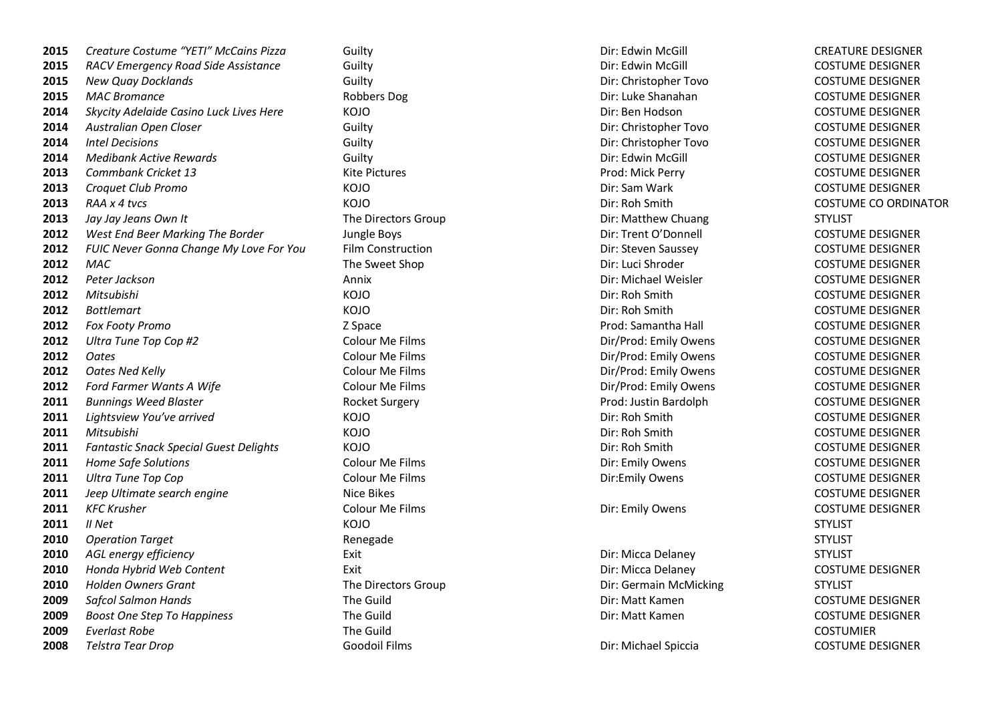| 2015 | Creature Costume "YETI" McCains Pizza         | Guilty                   | Dir: Edwin McGill      | <b>CREATURE DESIGNER</b> |
|------|-----------------------------------------------|--------------------------|------------------------|--------------------------|
| 2015 | RACV Emergency Road Side Assistance           | Guilty                   | Dir: Edwin McGill      | <b>COSTUME DESIGNER</b>  |
| 2015 | <b>New Quay Docklands</b>                     | Guilty                   | Dir: Christopher Tovo  | <b>COSTUME DESIGNER</b>  |
| 2015 | <b>MAC Bromance</b>                           | Robbers Dog              | Dir: Luke Shanahan     | <b>COSTUME DESIGNER</b>  |
| 2014 | Skycity Adelaide Casino Luck Lives Here       | KOJO                     | Dir: Ben Hodson        | <b>COSTUME DESIGNER</b>  |
| 2014 | Australian Open Closer                        | Guilty                   | Dir: Christopher Tovo  | <b>COSTUME DESIGNER</b>  |
| 2014 | <b>Intel Decisions</b>                        | Guilty                   | Dir: Christopher Tovo  | <b>COSTUME DESIGNER</b>  |
| 2014 | <b>Medibank Active Rewards</b>                | Guilty                   | Dir: Edwin McGill      | <b>COSTUME DESIGNER</b>  |
| 2013 | Commbank Cricket 13                           | <b>Kite Pictures</b>     | Prod: Mick Perry       | <b>COSTUME DESIGNER</b>  |
| 2013 | Croquet Club Promo                            | KOJO                     | Dir: Sam Wark          | <b>COSTUME DESIGNER</b>  |
| 2013 | RAA x 4 tvcs                                  | KOJO                     | Dir: Roh Smith         | <b>COSTUME CO ORDIN</b>  |
| 2013 | Jay Jay Jeans Own It                          | The Directors Group      | Dir: Matthew Chuang    | <b>STYLIST</b>           |
| 2012 | West End Beer Marking The Border              | Jungle Boys              | Dir: Trent O'Donnell   | <b>COSTUME DESIGNER</b>  |
| 2012 | FUIC Never Gonna Change My Love For You       | <b>Film Construction</b> | Dir: Steven Saussey    | <b>COSTUME DESIGNER</b>  |
| 2012 | <b>MAC</b>                                    | The Sweet Shop           | Dir: Luci Shroder      | <b>COSTUME DESIGNER</b>  |
| 2012 | Peter Jackson                                 | Annix                    | Dir: Michael Weisler   | <b>COSTUME DESIGNER</b>  |
| 2012 | Mitsubishi                                    | KOJO                     | Dir: Roh Smith         | <b>COSTUME DESIGNER</b>  |
| 2012 | <b>Bottlemart</b>                             | KOJO                     | Dir: Roh Smith         | <b>COSTUME DESIGNER</b>  |
| 2012 | Fox Footy Promo                               | Z Space                  | Prod: Samantha Hall    | <b>COSTUME DESIGNER</b>  |
| 2012 | Ultra Tune Top Cop #2                         | Colour Me Films          | Dir/Prod: Emily Owens  | <b>COSTUME DESIGNER</b>  |
| 2012 | <b>Oates</b>                                  | Colour Me Films          | Dir/Prod: Emily Owens  | <b>COSTUME DESIGNER</b>  |
| 2012 | <b>Oates Ned Kelly</b>                        | Colour Me Films          | Dir/Prod: Emily Owens  | <b>COSTUME DESIGNER</b>  |
| 2012 | Ford Farmer Wants A Wife                      | Colour Me Films          | Dir/Prod: Emily Owens  | <b>COSTUME DESIGNER</b>  |
| 2011 | <b>Bunnings Weed Blaster</b>                  | Rocket Surgery           | Prod: Justin Bardolph  | <b>COSTUME DESIGNER</b>  |
| 2011 | Lightsview You've arrived                     | KOJO                     | Dir: Roh Smith         | <b>COSTUME DESIGNER</b>  |
| 2011 | Mitsubishi                                    | KOJO                     | Dir: Roh Smith         | <b>COSTUME DESIGNER</b>  |
| 2011 | <b>Fantastic Snack Special Guest Delights</b> | KOJO                     | Dir: Roh Smith         | <b>COSTUME DESIGNER</b>  |
| 2011 | Home Safe Solutions                           | Colour Me Films          | Dir: Emily Owens       | <b>COSTUME DESIGNER</b>  |
| 2011 | <b>Ultra Tune Top Cop</b>                     | Colour Me Films          | Dir:Emily Owens        | <b>COSTUME DESIGNER</b>  |
| 2011 | Jeep Ultimate search engine                   | Nice Bikes               |                        | <b>COSTUME DESIGNER</b>  |
| 2011 | <b>KFC Krusher</b>                            | Colour Me Films          | Dir: Emily Owens       | <b>COSTUME DESIGNER</b>  |
| 2011 | II Net                                        | KOJO                     |                        | <b>STYLIST</b>           |
| 2010 | <b>Operation Target</b>                       | Renegade                 |                        | <b>STYLIST</b>           |
| 2010 | AGL energy efficiency                         | Exit                     | Dir: Micca Delaney     | <b>STYLIST</b>           |
| 2010 | Honda Hybrid Web Content                      | Exit                     | Dir: Micca Delaney     | <b>COSTUME DESIGNER</b>  |
| 2010 | <b>Holden Owners Grant</b>                    | The Directors Group      | Dir: Germain McMicking | <b>STYLIST</b>           |
| 2009 | <b>Safcol Salmon Hands</b>                    | The Guild                | Dir: Matt Kamen        | <b>COSTUME DESIGNER</b>  |
| 2009 | <b>Boost One Step To Happiness</b>            | The Guild                | Dir: Matt Kamen        | <b>COSTUME DESIGNER</b>  |
| 2009 | <b>Everlast Robe</b>                          | The Guild                |                        | <b>COSTUMIER</b>         |
| 2008 | Telstra Tear Drop                             | <b>Goodoil Films</b>     | Dir: Michael Spiccia   | <b>COSTUME DESIGNER</b>  |

*Guilty Dir: Christopher Tovo* **COSTUME DESIGNER 2014 Australian Closer** Costume Dir: Christopher Tovo **COSTUME DESIGNER** KOJO Dir: Sam Wark COSTUME DESIGNER *RAA x 4 tvcs* KOJO Dir: Roh Smith COSTUME CO ORDINATOR *Jay Jay Jeans Own It* The Directors Group Dir: Matthew Chuang STYLIST **Boys** Dir: Trent O'Donnell COSTUME DESIGNER KOJO Dir: Roh Smith COSTUME DESIGNER KOJO Dir: Roh Smith COSTUME DESIGNER *Ultra Tune Top Cop #2* Colour Me Films Dir/Prod: Emily Owens COSTUME DESIGNER *Oates* Colour Me Films Dir/Prod: Emily Owens COSTUME DESIGNER **2013 2013** *Dir/Prod: Emily Owens* **Colour Me Films Colour Me Films** Dir/Prod: Emily Owens KOJO Dir: Roh Smith COSTUME DESIGNER KOJO Dir: Roh Smith COSTUME DESIGNER KOJO Dir: Roh Smith COSTUME DESIGNER

COSTUME DESIGNER COSTUME DESIGNER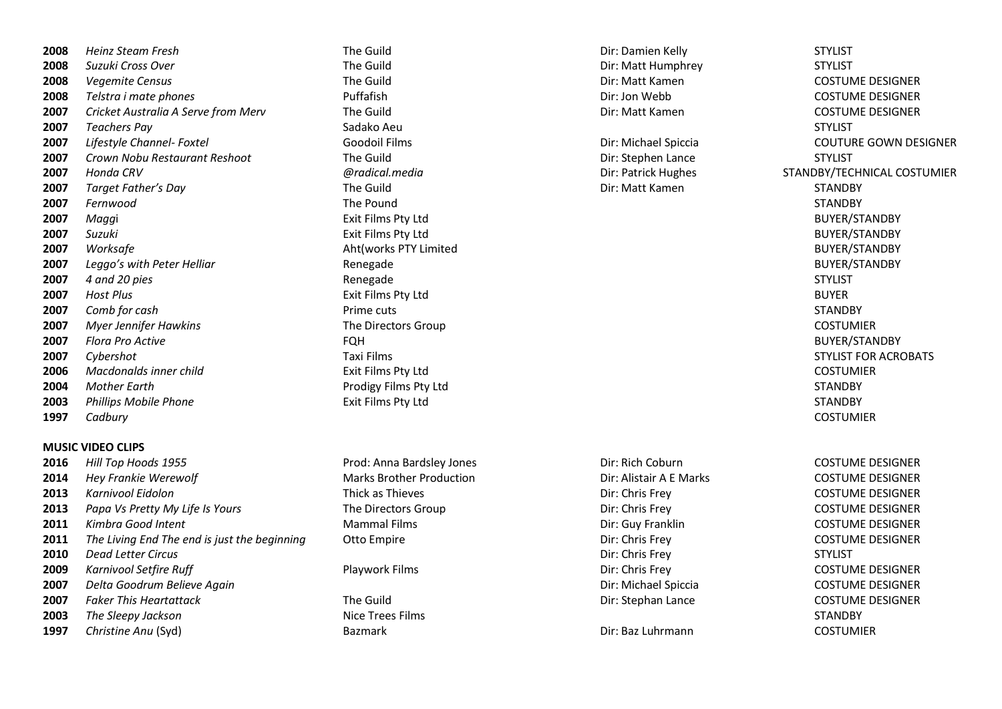*Heinz Steam Fresh* The Guild Dir: Damien Kelly STYLIST *Suzuki Cross Over* The Guild Dir: Matt Humphrey STYLIST *Vegemite Census* **Example 2008 COSTUME DESIGNER The Guild COSTUME DESIGNER Direct COSTUME DESIGNER**  *Zelstra i mate phones* **Dirichleright Direct Puffafish** Direct **Direct Direct Direct Direct Puffafish** Direct Direct Direct Direct Direct Direct Direct Direct Direct Direct Direct Direct Direct Direct Direct Dire *Cricket Australia A Serve from Merv* The Guild Direction COSTUME DESIGNER **Direction COSTUME DESIGNER**  *Teachers Pay* Sadako Aeu STYLIST *Lifestyle Channel- Foxtel* Goodoil Films Dir: Michael Spiccia COUTURE GOWN DESIGNER *Crown Nobu Restaurant Reshoot* The Guild Dir: Stephen Lance STYLIST *Honda CRV @radical.media* Dir: Patrick Hughes STANDBY/TECHNICAL COSTUMIER *Target Father's Day* The Guild Dir: Matt Kamen STANDBY *Fernwood* The Pound STANDBY *Magg*i Exit Films Pty Ltd BUYER/STANDBY *Suzuki* Exit Films Pty Ltd BUYER/STANDBY *Worksafe* BUYER/STANDBY **Aht(works PTY Limited BUYER/STANDBY** BUYER/STANDBY *Leggo's with Peter Helliar* **Renegade BUYER/STANDBY BUYER/STANDBY**  *4 and 20 pies* STYLIST Renegade STYLIST STYLIST STYLIST *Host Plus* Exit Films Pty Ltd BUYER *Comb for cash* STANDBY **Prime cuts** Prime cuts STANDBY *Myer Jennifer Hawkins* **The Directors Group COSTUMIER COSTUMIER**  *Flora Pro Active* FQH BUYER/STANDBY *Cybershot* **Example 2007 Cybershot STYLIST FOR ACROBATS CONSUMITS AND STYLIST FOR ACROBATS**  *Macdonalds inner child* Exit Films Pty Ltd COSTUMIER Mother Earth STANDBY **Prodigy Films Pty Ltd** STANDBY **STANDBY**  Phillips Mobile Phone **Exit Films Pty Ltd** STANDBY **Exit Films Pty Ltd** STANDBY *Cadbury* COSTUMIER

# **MUSIC VIDEO CLIPS**

| 2016 | Hill Top Hoods 1955                          | Prod: Anna Bardsley Jones       | Dir: Rich Coburn        | <b>COSTUME DESIGNER</b> |
|------|----------------------------------------------|---------------------------------|-------------------------|-------------------------|
| 2014 | <b>Hey Frankie Werewolf</b>                  | <b>Marks Brother Production</b> | Dir: Alistair A E Marks | <b>COSTUME DESIGNER</b> |
| 2013 | Karnivool Eidolon                            | Thick as Thieves                | Dir: Chris Frey         | <b>COSTUME DESIGNER</b> |
| 2013 | Papa Vs Pretty My Life Is Yours              | The Directors Group             | Dir: Chris Frey         | <b>COSTUME DESIGNER</b> |
| 2011 | Kimbra Good Intent                           | <b>Mammal Films</b>             | Dir: Guy Franklin       | <b>COSTUME DESIGNER</b> |
| 2011 | The Living End The end is just the beginning | Otto Empire                     | Dir: Chris Frey         | <b>COSTUME DESIGNER</b> |
| 2010 | Dead Letter Circus                           |                                 | Dir: Chris Frey         | <b>STYLIST</b>          |
| 2009 | Karnivool Setfire Ruff                       | Playwork Films                  | Dir: Chris Frey         | <b>COSTUME DESIGNER</b> |
| 2007 | Delta Goodrum Believe Again                  |                                 | Dir: Michael Spiccia    | <b>COSTUME DESIGNER</b> |
| 2007 | <b>Faker This Heartattack</b>                | The Guild                       | Dir: Stephan Lance      | <b>COSTUME DESIGNER</b> |
| 2003 | The Sleepy Jackson                           | Nice Trees Films                |                         | <b>STANDBY</b>          |
| 1997 | Christine Anu (Syd)                          | <b>Bazmark</b>                  | Dir: Baz Luhrmann       | <b>COSTUMIER</b>        |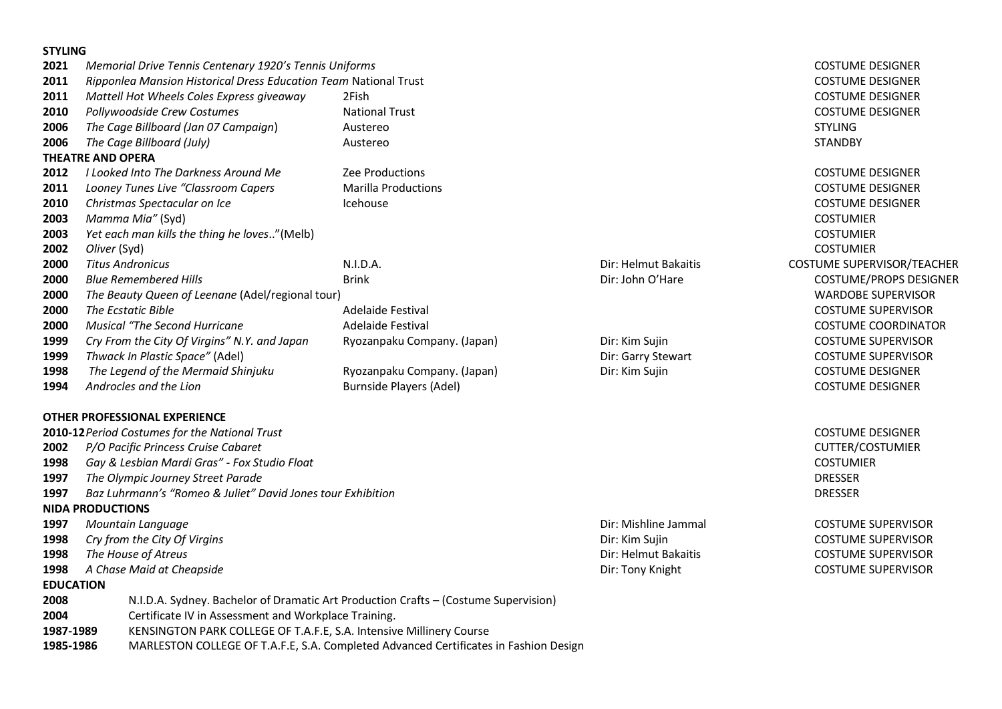# **STYLING**

| 2021             | Memorial Drive Tennis Centenary 1920's Tennis Uniforms              |                                                                                      |                      | <b>COSTUME DESIGNER</b>       |
|------------------|---------------------------------------------------------------------|--------------------------------------------------------------------------------------|----------------------|-------------------------------|
| 2011             | Ripponlea Mansion Historical Dress Education Team National Trust    |                                                                                      |                      | <b>COSTUME DESIGNER</b>       |
| 2011             | Mattell Hot Wheels Coles Express giveaway                           | 2Fish                                                                                |                      | <b>COSTUME DESIGNER</b>       |
| 2010             | Pollywoodside Crew Costumes                                         | <b>National Trust</b>                                                                |                      | <b>COSTUME DESIGNER</b>       |
| 2006             | The Cage Billboard (Jan 07 Campaign)                                | Austereo                                                                             |                      | <b>STYLING</b>                |
| 2006             | The Cage Billboard (July)                                           | Austereo                                                                             |                      | <b>STANDBY</b>                |
|                  | <b>THEATRE AND OPERA</b>                                            |                                                                                      |                      |                               |
| 2012             | I Looked Into The Darkness Around Me                                | Zee Productions                                                                      |                      | <b>COSTUME DESIGNER</b>       |
| 2011             | Looney Tunes Live "Classroom Capers                                 | <b>Marilla Productions</b>                                                           |                      | <b>COSTUME DESIGNER</b>       |
| 2010             | Christmas Spectacular on Ice                                        | Icehouse                                                                             |                      | <b>COSTUME DESIGNER</b>       |
| 2003             | Mamma Mia" (Syd)                                                    |                                                                                      |                      | <b>COSTUMIER</b>              |
| 2003             | Yet each man kills the thing he loves"(Melb)                        |                                                                                      |                      | <b>COSTUMIER</b>              |
| 2002             | Oliver (Syd)                                                        |                                                                                      |                      | <b>COSTUMIER</b>              |
| 2000             | <b>Titus Andronicus</b>                                             | N.I.D.A.                                                                             | Dir: Helmut Bakaitis | COSTUME SUPERVISOR/TEACHER    |
| 2000             | <b>Blue Remembered Hills</b>                                        | <b>Brink</b>                                                                         | Dir: John O'Hare     | <b>COSTUME/PROPS DESIGNER</b> |
| 2000             | The Beauty Queen of Leenane (Adel/regional tour)                    |                                                                                      |                      | <b>WARDOBE SUPERVISOR</b>     |
| 2000             | The Ecstatic Bible                                                  | Adelaide Festival                                                                    |                      | <b>COSTUME SUPERVISOR</b>     |
| 2000             | <b>Musical "The Second Hurricane</b>                                | Adelaide Festival                                                                    |                      | <b>COSTUME COORDINATOR</b>    |
| 1999             | Cry From the City Of Virgins" N.Y. and Japan                        | Ryozanpaku Company. (Japan)                                                          | Dir: Kim Sujin       | <b>COSTUME SUPERVISOR</b>     |
| 1999             | Thwack In Plastic Space" (Adel)                                     |                                                                                      | Dir: Garry Stewart   | <b>COSTUME SUPERVISOR</b>     |
| 1998             | The Legend of the Mermaid Shinjuku                                  | Ryozanpaku Company. (Japan)                                                          | Dir: Kim Sujin       | <b>COSTUME DESIGNER</b>       |
| 1994             | Androcles and the Lion                                              | <b>Burnside Players (Adel)</b>                                                       |                      | <b>COSTUME DESIGNER</b>       |
|                  | <b>OTHER PROFESSIONAL EXPERIENCE</b>                                |                                                                                      |                      |                               |
|                  | 2010-12 Period Costumes for the National Trust                      |                                                                                      |                      | <b>COSTUME DESIGNER</b>       |
| 2002             | P/O Pacific Princess Cruise Cabaret                                 |                                                                                      |                      | <b>CUTTER/COSTUMIER</b>       |
| 1998             | Gay & Lesbian Mardi Gras" - Fox Studio Float                        |                                                                                      |                      | <b>COSTUMIER</b>              |
| 1997             | The Olympic Journey Street Parade                                   |                                                                                      |                      | <b>DRESSER</b>                |
| 1997             | Baz Luhrmann's "Romeo & Juliet" David Jones tour Exhibition         |                                                                                      |                      | <b>DRESSER</b>                |
|                  | <b>NIDA PRODUCTIONS</b>                                             |                                                                                      |                      |                               |
| 1997             | Mountain Language                                                   |                                                                                      | Dir: Mishline Jammal | <b>COSTUME SUPERVISOR</b>     |
| 1998             | Cry from the City Of Virgins                                        |                                                                                      | Dir: Kim Sujin       | <b>COSTUME SUPERVISOR</b>     |
| 1998             | The House of Atreus                                                 |                                                                                      | Dir: Helmut Bakaitis | <b>COSTUME SUPERVISOR</b>     |
| 1998             | A Chase Maid at Cheapside                                           |                                                                                      | Dir: Tony Knight     | <b>COSTUME SUPERVISOR</b>     |
| <b>EDUCATION</b> |                                                                     |                                                                                      |                      |                               |
| 2008             |                                                                     | N.I.D.A. Sydney. Bachelor of Dramatic Art Production Crafts - (Costume Supervision)  |                      |                               |
| 2004             | Certificate IV in Assessment and Workplace Training.                |                                                                                      |                      |                               |
| 1987-1989        | KENSINGTON PARK COLLEGE OF T.A.F.E, S.A. Intensive Millinery Course |                                                                                      |                      |                               |
| 1985-1986        |                                                                     | MARLESTON COLLEGE OF T.A.F.E, S.A. Completed Advanced Certificates in Fashion Design |                      |                               |